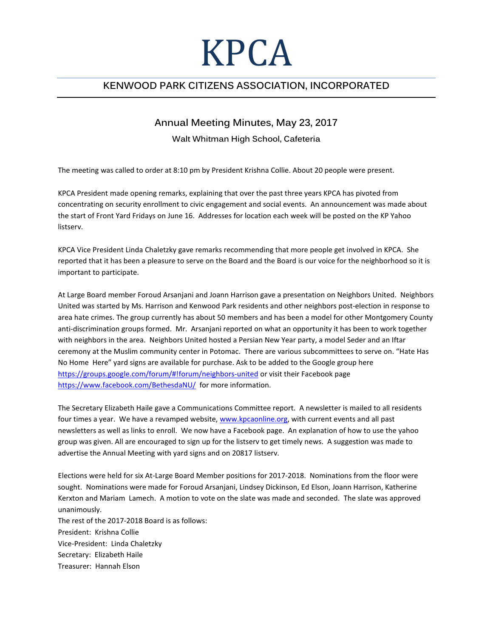## KPCA

## **KENWOOD PARK CITIZENS ASSOCIATION, INCORPORATED**

## **Annual Meeting Minutes, May 23, 2017**

## **Walt Whitman High School, Cafeteria**

The meeting was called to order at 8:10 pm by President Krishna Collie. About 20 people were present.

KPCA President made opening remarks, explaining that over the past three years KPCA has pivoted from concentrating on security enrollment to civic engagement and social events. An announcement was made about the start of Front Yard Fridays on June 16. Addresses for location each week will be posted on the KP Yahoo listserv.

KPCA Vice President Linda Chaletzky gave remarks recommending that more people get involved in KPCA. She reported that it has been a pleasure to serve on the Board and the Board is our voice for the neighborhood so it is important to participate.

At Large Board member Foroud Arsanjani and Joann Harrison gave a presentation on Neighbors United. Neighbors United was started by Ms. Harrison and Kenwood Park residents and other neighbors post-election in response to area hate crimes. The group currently has about 50 members and has been a model for other Montgomery County anti-discrimination groups formed. Mr. Arsanjani reported on what an opportunity it has been to work together with neighbors in the area. Neighbors United hosted a Persian New Year party, a model Seder and an Iftar ceremony at the Muslim community center in Potomac. There are various subcommittees to serve on. "Hate Has No Home Here" yard signs are available for purchase. Ask to be added to the Google group here <https://groups.google.com/forum/#!forum/neighbors-united> or visit their Facebook page <https://www.facebook.com/BethesdaNU/>for more information.

The Secretary Elizabeth Haile gave a Communications Committee report. A newsletter is mailed to all residents four times a year. We have a revamped website, [www.kpcaonline.org,](http://www.kpcaonline.org/) with current events and all past newsletters as well as links to enroll. We now have a Facebook page. An explanation of how to use the yahoo group was given. All are encouraged to sign up for the listserv to get timely news. A suggestion was made to advertise the Annual Meeting with yard signs and on 20817 listserv.

Elections were held for six At-Large Board Member positions for 2017-2018. Nominations from the floor were sought. Nominations were made for Foroud Arsanjani, Lindsey Dickinson, Ed Elson, Joann Harrison, Katherine Kerxton and Mariam Lamech. A motion to vote on the slate was made and seconded. The slate was approved unanimously.

The rest of the 2017-2018 Board is as follows: President: Krishna Collie Vice-President: Linda Chaletzky Secretary: Elizabeth Haile Treasurer: Hannah Elson